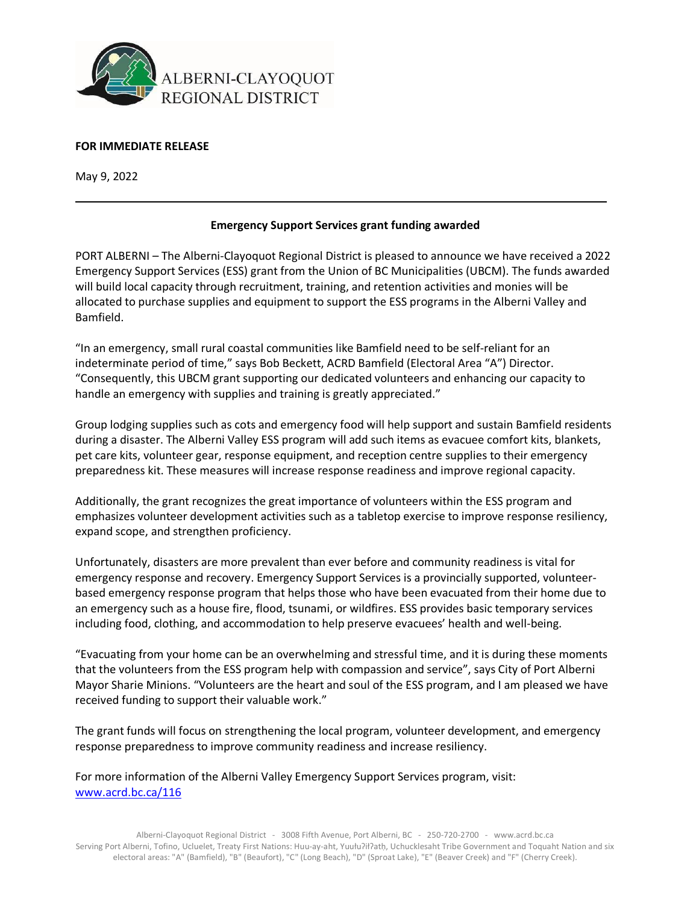

## **FOR IMMEDIATE RELEASE**

May 9, 2022

## **Emergency Support Services grant funding awarded**

PORT ALBERNI – The Alberni-Clayoquot Regional District is pleased to announce we have received a 2022 Emergency Support Services (ESS) grant from the Union of BC Municipalities (UBCM). The funds awarded will build local capacity through recruitment, training, and retention activities and monies will be allocated to purchase supplies and equipment to support the ESS programs in the Alberni Valley and Bamfield.

"In an emergency, small rural coastal communities like Bamfield need to be self-reliant for an indeterminate period of time," says Bob Beckett, ACRD Bamfield (Electoral Area "A") Director. "Consequently, this UBCM grant supporting our dedicated volunteers and enhancing our capacity to handle an emergency with supplies and training is greatly appreciated."

Group lodging supplies such as cots and emergency food will help support and sustain Bamfield residents during a disaster. The Alberni Valley ESS program will add such items as evacuee comfort kits, blankets, pet care kits, volunteer gear, response equipment, and reception centre supplies to their emergency preparedness kit. These measures will increase response readiness and improve regional capacity.

Additionally, the grant recognizes the great importance of volunteers within the ESS program and emphasizes volunteer development activities such as a tabletop exercise to improve response resiliency, expand scope, and strengthen proficiency.

Unfortunately, disasters are more prevalent than ever before and community readiness is vital for emergency response and recovery. Emergency Support Services is a provincially supported, volunteerbased emergency response program that helps those who have been evacuated from their home due to an emergency such as a house fire, flood, tsunami, or wildfires. ESS provides basic temporary services including food, clothing, and accommodation to help preserve evacuees' health and well-being.

"Evacuating from your home can be an overwhelming and stressful time, and it is during these moments that the volunteers from the ESS program help with compassion and service", says City of Port Alberni Mayor Sharie Minions. "Volunteers are the heart and soul of the ESS program, and I am pleased we have received funding to support their valuable work."

The grant funds will focus on strengthening the local program, volunteer development, and emergency response preparedness to improve community readiness and increase resiliency.

For more information of the Alberni Valley Emergency Support Services program, visit: [www.acrd.bc.ca/116](http://www.acrd.bc.ca/116)